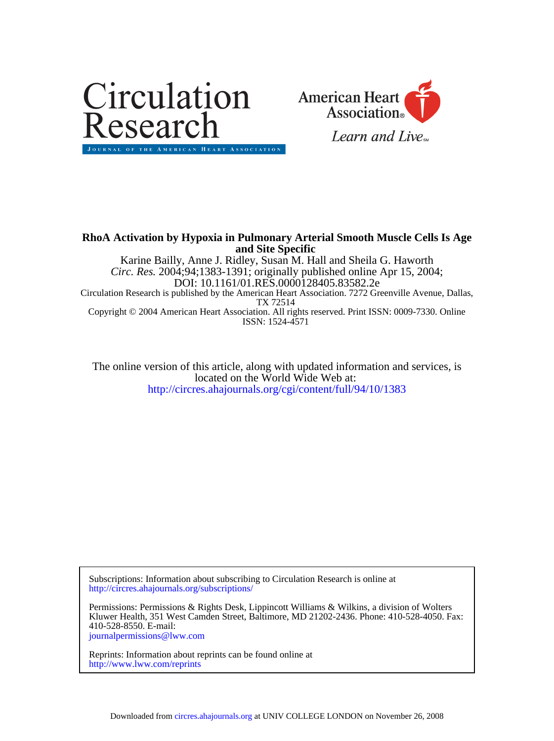



# **and Site Specific RhoA Activation by Hypoxia in Pulmonary Arterial Smooth Muscle Cells Is Age**

ISSN: 1524-4571 Copyright © 2004 American Heart Association. All rights reserved. Print ISSN: 0009-7330. Online TX 72514 Circulation Research is published by the American Heart Association. 7272 Greenville Avenue, Dallas, DOI: 10.1161/01.RES.0000128405.83582.2e *Circ. Res.* 2004;94;1383-1391; originally published online Apr 15, 2004; Karine Bailly, Anne J. Ridley, Susan M. Hall and Sheila G. Haworth

<http://circres.ahajournals.org/cgi/content/full/94/10/1383> located on the World Wide Web at: The online version of this article, along with updated information and services, is

<http://circres.ahajournals.org/subscriptions/> Subscriptions: Information about subscribing to Circulation Research is online at

[journalpermissions@lww.com](mailto:journalpermissions@lww.com) 410-528-8550. E-mail: Kluwer Health, 351 West Camden Street, Baltimore, MD 21202-2436. Phone: 410-528-4050. Fax: Permissions: Permissions & Rights Desk, Lippincott Williams & Wilkins, a division of Wolters

<http://www.lww.com/reprints> Reprints: Information about reprints can be found online at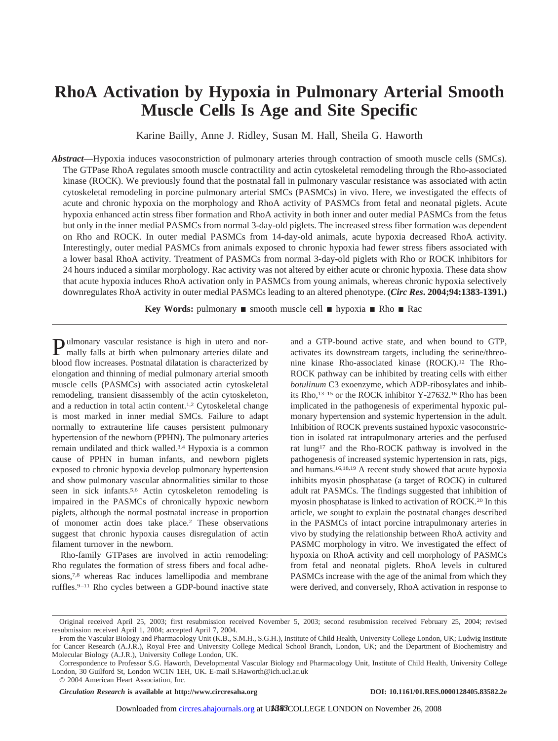# **RhoA Activation by Hypoxia in Pulmonary Arterial Smooth Muscle Cells Is Age and Site Specific**

Karine Bailly, Anne J. Ridley, Susan M. Hall, Sheila G. Haworth

*Abstract*—Hypoxia induces vasoconstriction of pulmonary arteries through contraction of smooth muscle cells (SMCs). The GTPase RhoA regulates smooth muscle contractility and actin cytoskeletal remodeling through the Rho-associated kinase (ROCK). We previously found that the postnatal fall in pulmonary vascular resistance was associated with actin cytoskeletal remodeling in porcine pulmonary arterial SMCs (PASMCs) in vivo. Here, we investigated the effects of acute and chronic hypoxia on the morphology and RhoA activity of PASMCs from fetal and neonatal piglets. Acute hypoxia enhanced actin stress fiber formation and RhoA activity in both inner and outer medial PASMCs from the fetus but only in the inner medial PASMCs from normal 3-day-old piglets. The increased stress fiber formation was dependent on Rho and ROCK. In outer medial PASMCs from 14-day-old animals, acute hypoxia decreased RhoA activity. Interestingly, outer medial PASMCs from animals exposed to chronic hypoxia had fewer stress fibers associated with a lower basal RhoA activity. Treatment of PASMCs from normal 3-day-old piglets with Rho or ROCK inhibitors for 24 hours induced a similar morphology. Rac activity was not altered by either acute or chronic hypoxia. These data show that acute hypoxia induces RhoA activation only in PASMCs from young animals, whereas chronic hypoxia selectively downregulates RhoA activity in outer medial PASMCs leading to an altered phenotype. **(***Circ Res***. 2004;94:1383-1391.)**

**Key Words:** pulmonary **s** smooth muscle cell **n** hypoxia **Rho Rac** 

Pulmonary vascular resistance is high in utero and nor-<br>mally falls of high in mally falls at birth when pulmonary arteries dilate and blood flow increases. Postnatal dilatation is characterized by elongation and thinning of medial pulmonary arterial smooth muscle cells (PASMCs) with associated actin cytoskeletal remodeling, transient disassembly of the actin cytoskeleton, and a reduction in total actin content.1,2 Cytoskeletal change is most marked in inner medial SMCs. Failure to adapt normally to extrauterine life causes persistent pulmonary hypertension of the newborn (PPHN). The pulmonary arteries remain undilated and thick walled.3,4 Hypoxia is a common cause of PPHN in human infants, and newborn piglets exposed to chronic hypoxia develop pulmonary hypertension and show pulmonary vascular abnormalities similar to those seen in sick infants.5,6 Actin cytoskeleton remodeling is impaired in the PASMCs of chronically hypoxic newborn piglets, although the normal postnatal increase in proportion of monomer actin does take place.2 These observations suggest that chronic hypoxia causes disregulation of actin filament turnover in the newborn.

Rho-family GTPases are involved in actin remodeling: Rho regulates the formation of stress fibers and focal adhesions,<sup>7,8</sup> whereas Rac induces lamellipodia and membrane ruffles.9–11 Rho cycles between a GDP-bound inactive state and a GTP-bound active state, and when bound to GTP, activates its downstream targets, including the serine/threonine kinase Rho-associated kinase (ROCK).12 The Rho-ROCK pathway can be inhibited by treating cells with either *botulinum* C3 exoenzyme, which ADP-ribosylates and inhibits Rho,13–15 or the ROCK inhibitor Y-27632.16 Rho has been implicated in the pathogenesis of experimental hypoxic pulmonary hypertension and systemic hypertension in the adult. Inhibition of ROCK prevents sustained hypoxic vasoconstriction in isolated rat intrapulmonary arteries and the perfused rat lung17 and the Rho-ROCK pathway is involved in the pathogenesis of increased systemic hypertension in rats, pigs, and humans.16,18,19 A recent study showed that acute hypoxia inhibits myosin phosphatase (a target of ROCK) in cultured adult rat PASMCs. The findings suggested that inhibition of myosin phosphatase is linked to activation of ROCK.20 In this article, we sought to explain the postnatal changes described in the PASMCs of intact porcine intrapulmonary arteries in vivo by studying the relationship between RhoA activity and PASMC morphology in vitro. We investigated the effect of hypoxia on RhoA activity and cell morphology of PASMCs from fetal and neonatal piglets. RhoA levels in cultured PASMCs increase with the age of the animal from which they were derived, and conversely, RhoA activation in response to

*Circulation Research* **is available at http://www.circresaha.org DOI: 10.1161/01.RES.0000128405.83582.2e**

Original received April 25, 2003; first resubmission received November 5, 2003; second resubmission received February 25, 2004; revised resubmission received April 1, 2004; accepted April 7, 2004.

From the Vascular Biology and Pharmacology Unit (K.B., S.M.H., S.G.H.), Institute of Child Health, University College London, UK; Ludwig Institute for Cancer Research (A.J.R.), Royal Free and University College Medical School Branch, London, UK; and the Department of Biochemistry and Molecular Biology (A.J.R.), University College London, UK.

Correspondence to Professor S.G. Haworth, Developmental Vascular Biology and Pharmacology Unit, Institute of Child Health, University College London, 30 Guilford St, London WC1N 1EH, UK. E-mail S.Haworth@ich.ucl.ac.uk

<sup>© 2004</sup> American Heart Association, Inc.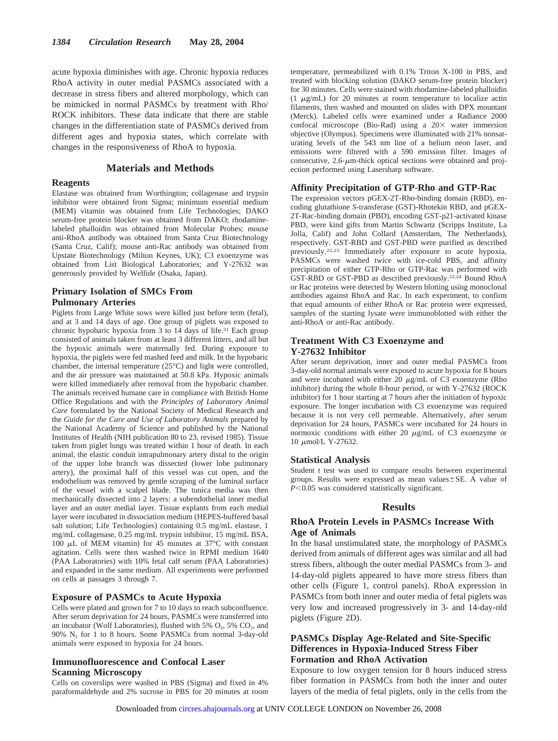acute hypoxia diminishes with age. Chronic hypoxia reduces RhoA activity in outer medial PASMCs associated with a decrease in stress fibers and altered morphology, which can be mimicked in normal PASMCs by treatment with Rho/ ROCK inhibitors. These data indicate that there are stable changes in the differentiation state of PASMCs derived from different ages and hypoxia states, which correlate with changes in the responsiveness of RhoA to hypoxia.

# **Materials and Methods**

#### **Reagents**

Elastase was obtained from Worthington; collagenase and trypsin inhibitor were obtained from Sigma; minimum essential medium (MEM) vitamin was obtained from Life Technologies; DAKO serum-free protein blocker was obtained from DAKO; rhodaminelabeled phalloidin was obtained from Molecular Probes; mouse anti-RhoA antibody was obtained from Santa Cruz Biotechnology (Santa Cruz, Calif); mouse anti-Rac antibody was obtained from Upstate Biotechnology (Milton Keynes, UK); C3 exoenzyme was obtained from List Biological Laboratories; and Y-27632 was generously provided by Welfide (Osaka, Japan).

## **Primary Isolation of SMCs From Pulmonary Arteries**

Piglets from Large White sows were killed just before term (fetal), and at 3 and 14 days of age. One group of piglets was exposed to chronic hypobaric hypoxia from 3 to 14 days of life.<sup>21</sup> Each group consisted of animals taken from at least 3 different litters, and all but the hypoxic animals were maternally fed. During exposure to hypoxia, the piglets were fed mashed feed and milk. In the hypobaric chamber, the internal temperature (25°C) and light were controlled, and the air pressure was maintained at 50.8 kPa. Hypoxic animals were killed immediately after removal from the hypobaric chamber. The animals received humane care in compliance with British Home Office Regulations and with the *Principles of Laboratory Animal Care* formulated by the National Society of Medical Research and the *Guide for the Care and Use of Laboratory Animals* prepared by the National Academy of Science and published by the National Institutes of Health (NIH publication 80 to 23, revised 1985). Tissue taken from piglet lungs was treated within 1 hour of death. In each animal, the elastic conduit intrapulmonary artery distal to the origin of the upper lobe branch was dissected (lower lobe pulmonary artery), the proximal half of this vessel was cut open, and the endothelium was removed by gentle scraping of the luminal surface of the vessel with a scalpel blade. The tunica media was then mechanically dissected into 2 layers: a subendothelial inner medial layer and an outer medial layer. Tissue explants from each medial layer were incubated in dissociation medium (HEPES-buffered basal salt solution; Life Technologies) containing 0.5 mg/mL elastase, 1 mg/mL collagenase, 0.25 mg/mL trypsin inhibitor, 15 mg/mL BSA, 100  $\mu$ L of MEM vitamin) for 45 minutes at 37 $\degree$ C with constant agitation. Cells were then washed twice in RPMI medium 1640 (PAA Laboratories) with 10% fetal calf serum (PAA Laboratories) and expanded in the same medium. All experiments were performed on cells at passages 3 through 7.

#### **Exposure of PASMCs to Acute Hypoxia**

Cells were plated and grown for 7 to 10 days to reach subconfluence. After serum deprivation for 24 hours, PASMCs were transferred into an incubator (Wolf Laboratories), flushed with 5%  $O_2$ , 5%  $CO_2$ , and 90% N2 for 1 to 8 hours. Some PASMCs from normal 3-day-old animals were exposed to hypoxia for 24 hours.

## **Immunofluorescence and Confocal Laser Scanning Microscopy**

Cells on coverslips were washed in PBS (Sigma) and fixed in 4% paraformaldehyde and 2% sucrose in PBS for 20 minutes at room temperature, permeabilized with 0.1% Triton X-100 in PBS, and treated with blocking solution (DAKO serum-free protein blocker) for 30 minutes. Cells were stained with rhodamine-labeled phalloidin (1  $\mu$ g/mL) for 20 minutes at room temperature to localize actin filaments, then washed and mounted on slides with DPX mountant (Merck). Labeled cells were examined under a Radiance 2000 confocal microscope (Bio-Rad) using a  $20 \times$  water immersion objective (Olympus). Specimens were illuminated with 21% nonsaturating levels of the 543 nm line of a helium neon laser, and emissions were filtered with a 590 emission filter. Images of consecutive,  $2.6$ - $\mu$ m-thick optical sections were obtained and projection performed using Lasersharp software.

#### **Affinity Precipitation of GTP-Rho and GTP-Rac**

The expression vectors pGEX-2T-Rho-binding domain (RBD), encoding glutathione *S*-transferase (GST)-Rhotekin RBD, and pGEX-2T-Rac-binding domain (PBD), encoding GST-p21-activated kinase PBD, were kind gifts from Martin Schwartz (Scripps Institute, La Jolla, Calif) and John Collard (Amsterdam, The Netherlands), respectively. GST-RBD and GST-PBD were purified as described previously.22,23 Immediately after exposure to acute hypoxia, PASMCs were washed twice with ice-cold PBS, and affinity precipitation of either GTP-Rho or GTP-Rac was performed with GST-RBD or GST-PBD as described previously.22,24 Bound RhoA or Rac proteins were detected by Western blotting using monoclonal antibodies against RhoA and Rac. In each experiment, to confirm that equal amounts of either RhoA or Rac protein were expressed, samples of the starting lysate were immunoblotted with either the anti-RhoA or anti-Rac antibody.

#### **Treatment With C3 Exoenzyme and Y-27632 Inhibitor**

After serum deprivation, inner and outer medial PASMCs from 3-day-old normal animals were exposed to acute hypoxia for 8 hours and were incubated with either 20  $\mu$ g/mL of C3 exoenzyme (Rho inhibitor) during the whole 8-hour period, or with Y-27632 (ROCK inhibitor) for 1 hour starting at 7 hours after the initiation of hypoxic exposure. The longer incubation with C3 exoenzyme was required because it is not very cell permeable. Alternatively, after serum deprivation for 24 hours, PASMCs were incubated for 24 hours in normoxic conditions with either 20  $\mu$ g/mL of C3 exoenzyme or 10 μmol/L Y-27632.

#### **Statistical Analysis**

Student *t* test was used to compare results between experimental groups. Results were expressed as mean values $\pm$ SE. A value of *P*<0.05 was considered statistically significant.

#### **Results**

### **RhoA Protein Levels in PASMCs Increase With Age of Animals**

In the basal unstimulated state, the morphology of PASMCs derived from animals of different ages was similar and all had stress fibers, although the outer medial PASMCs from 3- and 14-day-old piglets appeared to have more stress fibers than other cells (Figure 1, control panels). RhoA expression in PASMCs from both inner and outer media of fetal piglets was very low and increased progressively in 3- and 14-day-old piglets (Figure 2D).

# **PASMCs Display Age-Related and Site-Specific Differences in Hypoxia-Induced Stress Fiber Formation and RhoA Activation**

Exposure to low oxygen tension for 8 hours induced stress fiber formation in PASMCs from both the inner and outer layers of the media of fetal piglets, only in the cells from the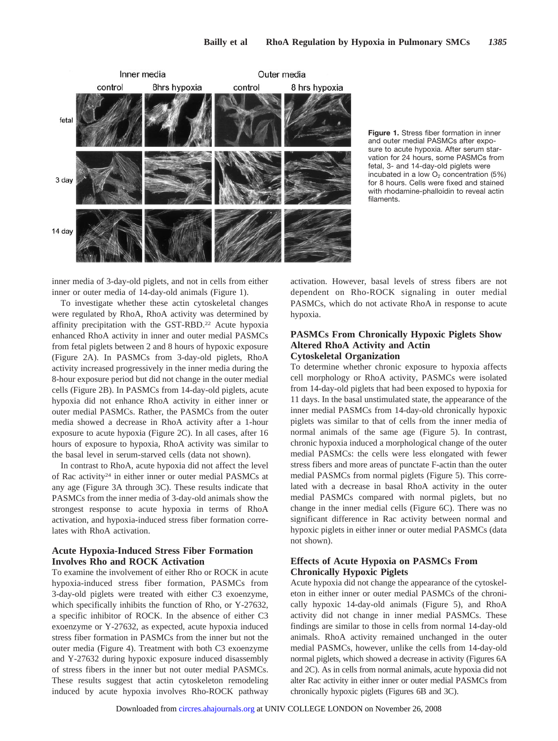

**Figure 1.** Stress fiber formation in inner and outer medial PASMCs after exposure to acute hypoxia. After serum starvation for 24 hours, some PASMCs from fetal, 3- and 14-day-old piglets were incubated in a low  $O<sub>2</sub>$  concentration (5%) for 8 hours. Cells were fixed and stained with rhodamine-phalloidin to reveal actin filaments.

inner media of 3-day-old piglets, and not in cells from either inner or outer media of 14-day-old animals (Figure 1).

To investigate whether these actin cytoskeletal changes were regulated by RhoA, RhoA activity was determined by affinity precipitation with the GST-RBD.22 Acute hypoxia enhanced RhoA activity in inner and outer medial PASMCs from fetal piglets between 2 and 8 hours of hypoxic exposure (Figure 2A). In PASMCs from 3-day-old piglets, RhoA activity increased progressively in the inner media during the 8-hour exposure period but did not change in the outer medial cells (Figure 2B). In PASMCs from 14-day-old piglets, acute hypoxia did not enhance RhoA activity in either inner or outer medial PASMCs. Rather, the PASMCs from the outer media showed a decrease in RhoA activity after a 1-hour exposure to acute hypoxia (Figure 2C). In all cases, after 16 hours of exposure to hypoxia, RhoA activity was similar to the basal level in serum-starved cells (data not shown).

In contrast to RhoA, acute hypoxia did not affect the level of Rac activity24 in either inner or outer medial PASMCs at any age (Figure 3A through 3C). These results indicate that PASMCs from the inner media of 3-day-old animals show the strongest response to acute hypoxia in terms of RhoA activation, and hypoxia-induced stress fiber formation correlates with RhoA activation.

# **Acute Hypoxia-Induced Stress Fiber Formation Involves Rho and ROCK Activation**

To examine the involvement of either Rho or ROCK in acute hypoxia-induced stress fiber formation, PASMCs from 3-day-old piglets were treated with either C3 exoenzyme, which specifically inhibits the function of Rho, or Y-27632, a specific inhibitor of ROCK. In the absence of either C3 exoenzyme or Y-27632, as expected, acute hypoxia induced stress fiber formation in PASMCs from the inner but not the outer media (Figure 4). Treatment with both C3 exoenzyme and Y-27632 during hypoxic exposure induced disassembly of stress fibers in the inner but not outer medial PASMCs. These results suggest that actin cytoskeleton remodeling induced by acute hypoxia involves Rho-ROCK pathway

activation. However, basal levels of stress fibers are not dependent on Rho-ROCK signaling in outer medial PASMCs, which do not activate RhoA in response to acute hypoxia.

## **PASMCs From Chronically Hypoxic Piglets Show Altered RhoA Activity and Actin Cytoskeletal Organization**

To determine whether chronic exposure to hypoxia affects cell morphology or RhoA activity, PASMCs were isolated from 14-day-old piglets that had been exposed to hypoxia for 11 days. In the basal unstimulated state, the appearance of the inner medial PASMCs from 14-day-old chronically hypoxic piglets was similar to that of cells from the inner media of normal animals of the same age (Figure 5). In contrast, chronic hypoxia induced a morphological change of the outer medial PASMCs: the cells were less elongated with fewer stress fibers and more areas of punctate F-actin than the outer medial PASMCs from normal piglets (Figure 5). This correlated with a decrease in basal RhoA activity in the outer medial PASMCs compared with normal piglets, but no change in the inner medial cells (Figure 6C). There was no significant difference in Rac activity between normal and hypoxic piglets in either inner or outer medial PASMCs (data not shown).

# **Effects of Acute Hypoxia on PASMCs From Chronically Hypoxic Piglets**

Acute hypoxia did not change the appearance of the cytoskeleton in either inner or outer medial PASMCs of the chronically hypoxic 14-day-old animals (Figure 5), and RhoA activity did not change in inner medial PASMCs. These findings are similar to those in cells from normal 14-day-old animals. RhoA activity remained unchanged in the outer medial PASMCs, however, unlike the cells from 14-day-old normal piglets, which showed a decrease in activity (Figures 6A and 2C). As in cells from normal animals, acute hypoxia did not alter Rac activity in either inner or outer medial PASMCs from chronically hypoxic piglets (Figures 6B and 3C).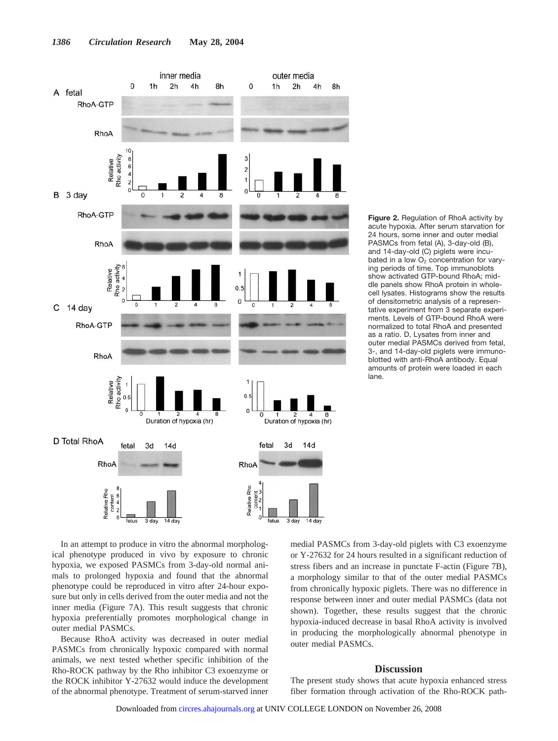

**Figure 2.** Regulation of RhoA activity by acute hypoxia. After serum starvation for 24 hours, some inner and outer medial PASMCs from fetal (A), 3-day-old (B), and 14-day-old (C) piglets were incubated in a low  $O<sub>2</sub>$  concentration for varying periods of time. Top immunoblots show activated GTP-bound RhoA; middle panels show RhoA protein in wholecell lysates. Histograms show the results of densitometric analysis of a representative experiment from 3 separate experiments. Levels of GTP-bound RhoA were normalized to total RhoA and presented as a ratio. D, Lysates from inner and outer medial PASMCs derived from fetal, 3-, and 14-day-old piglets were immunoblotted with anti-RhoA antibody. Equal amounts of protein were loaded in each lane.

In an attempt to produce in vitro the abnormal morphological phenotype produced in vivo by exposure to chronic hypoxia, we exposed PASMCs from 3-day-old normal animals to prolonged hypoxia and found that the abnormal phenotype could be reproduced in vitro after 24-hour exposure but only in cells derived from the outer media and not the inner media (Figure 7A). This result suggests that chronic hypoxia preferentially promotes morphological change in outer medial PASMCs.

Because RhoA activity was decreased in outer medial PASMCs from chronically hypoxic compared with normal animals, we next tested whether specific inhibition of the Rho-ROCK pathway by the Rho inhibitor C3 exoenzyme or the ROCK inhibitor Y-27632 would induce the development of the abnormal phenotype. Treatment of serum-starved inner

medial PASMCs from 3-day-old piglets with C3 exoenzyme or Y-27632 for 24 hours resulted in a significant reduction of stress fibers and an increase in punctate F-actin (Figure 7B), a morphology similar to that of the outer medial PASMCs from chronically hypoxic piglets. There was no difference in response between inner and outer medial PASMCs (data not shown). Together, these results suggest that the chronic hypoxia-induced decrease in basal RhoA activity is involved in producing the morphologically abnormal phenotype in outer medial PASMCs.

#### **Discussion**

The present study shows that acute hypoxia enhanced stress fiber formation through activation of the Rho-ROCK path-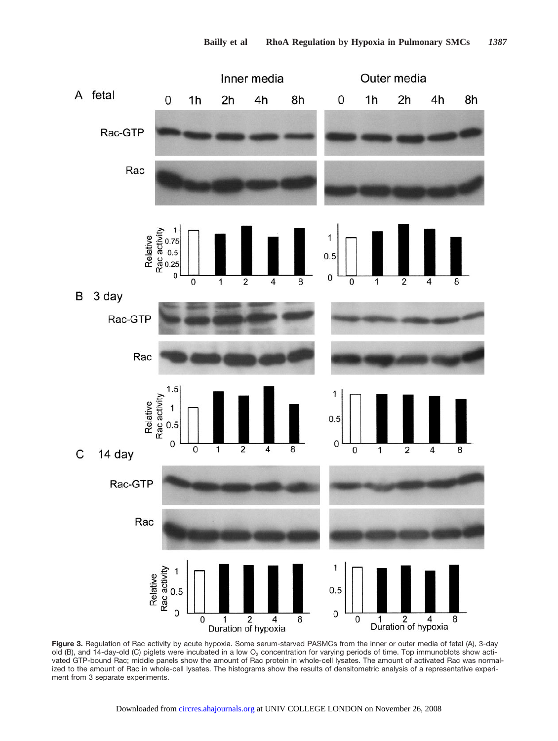

**Figure 3.** Regulation of Rac activity by acute hypoxia. Some serum-starved PASMCs from the inner or outer media of fetal (A), 3-day old (B), and 14-day-old (C) piglets were incubated in a low  $O<sub>2</sub>$  concentration for varying periods of time. Top immunoblots show activated GTP-bound Rac; middle panels show the amount of Rac protein in whole-cell lysates. The amount of activated Rac was normalized to the amount of Rac in whole-cell lysates. The histograms show the results of densitometric analysis of a representative experiment from 3 separate experiments.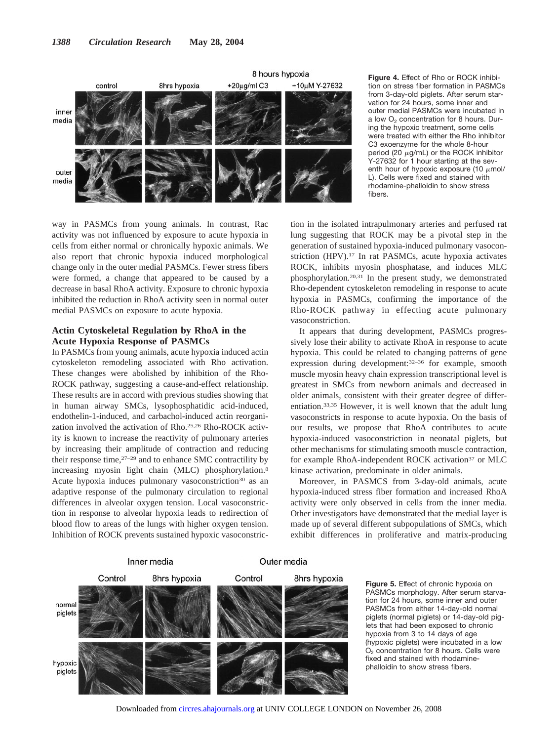

**Figure 4.** Effect of Rho or ROCK inhibition on stress fiber formation in PASMCs from 3-day-old piglets. After serum starvation for 24 hours, some inner and outer medial PASMCs were incubated in a low  $O<sub>2</sub>$  concentration for 8 hours. During the hypoxic treatment, some cells were treated with either the Rho inhibitor C3 exoenzyme for the whole 8-hour period (20  $\mu$ g/mL) or the ROCK inhibitor Y-27632 for 1 hour starting at the seventh hour of hypoxic exposure (10  $\mu$ mol/ L). Cells were fixed and stained with rhodamine-phalloidin to show stress fibers.

way in PASMCs from young animals. In contrast, Rac activity was not influenced by exposure to acute hypoxia in cells from either normal or chronically hypoxic animals. We also report that chronic hypoxia induced morphological change only in the outer medial PASMCs. Fewer stress fibers were formed, a change that appeared to be caused by a decrease in basal RhoA activity. Exposure to chronic hypoxia inhibited the reduction in RhoA activity seen in normal outer medial PASMCs on exposure to acute hypoxia.

### **Actin Cytoskeletal Regulation by RhoA in the Acute Hypoxia Response of PASMCs**

In PASMCs from young animals, acute hypoxia induced actin cytoskeleton remodeling associated with Rho activation. These changes were abolished by inhibition of the Rho-ROCK pathway, suggesting a cause-and-effect relationship. These results are in accord with previous studies showing that in human airway SMCs, lysophosphatidic acid-induced, endothelin-1-induced, and carbachol-induced actin reorganization involved the activation of Rho.25,26 Rho-ROCK activity is known to increase the reactivity of pulmonary arteries by increasing their amplitude of contraction and reducing their response time, $27-29$  and to enhance SMC contractility by increasing myosin light chain (MLC) phosphorylation.8 Acute hypoxia induces pulmonary vasoconstriction<sup>30</sup> as an adaptive response of the pulmonary circulation to regional differences in alveolar oxygen tension. Local vasoconstriction in response to alveolar hypoxia leads to redirection of blood flow to areas of the lungs with higher oxygen tension. Inhibition of ROCK prevents sustained hypoxic vasoconstric-

tion in the isolated intrapulmonary arteries and perfused rat lung suggesting that ROCK may be a pivotal step in the generation of sustained hypoxia-induced pulmonary vasoconstriction (HPV).17 In rat PASMCs, acute hypoxia activates ROCK, inhibits myosin phosphatase, and induces MLC phosphorylation.20,31 In the present study, we demonstrated Rho-dependent cytoskeleton remodeling in response to acute hypoxia in PASMCs, confirming the importance of the Rho-ROCK pathway in effecting acute pulmonary vasoconstriction.

It appears that during development, PASMCs progressively lose their ability to activate RhoA in response to acute hypoxia. This could be related to changing patterns of gene expression during development:32–36 for example, smooth muscle myosin heavy chain expression transcriptional level is greatest in SMCs from newborn animals and decreased in older animals, consistent with their greater degree of differentiation.33,35 However, it is well known that the adult lung vasoconstricts in response to acute hypoxia. On the basis of our results, we propose that RhoA contributes to acute hypoxia-induced vasoconstriction in neonatal piglets, but other mechanisms for stimulating smooth muscle contraction, for example RhoA-independent ROCK activation<sup>37</sup> or MLC kinase activation, predominate in older animals.

Moreover, in PASMCS from 3-day-old animals, acute hypoxia-induced stress fiber formation and increased RhoA activity were only observed in cells from the inner media. Other investigators have demonstrated that the medial layer is made up of several different subpopulations of SMCs, which exhibit differences in proliferative and matrix-producing



**Figure 5.** Effect of chronic hypoxia on PASMCs morphology. After serum starvation for 24 hours, some inner and outer PASMCs from either 14-day-old normal piglets (normal piglets) or 14-day-old piglets that had been exposed to chronic hypoxia from 3 to 14 days of age (hypoxic piglets) were incubated in a low O2 concentration for 8 hours. Cells were fixed and stained with rhodaminephalloidin to show stress fibers.

Downloaded from [circres.ahajournals.org](http://circres.ahajournals.org) at UNIV COLLEGE LONDON on November 26, 2008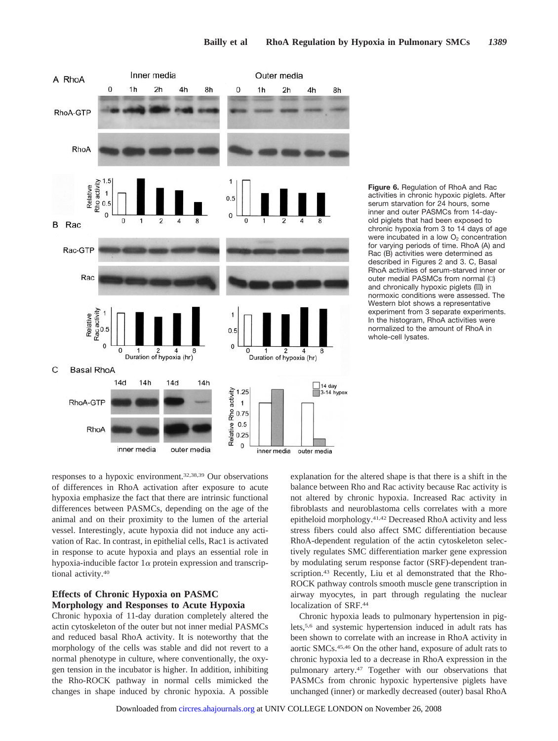

**Figure 6.** Regulation of RhoA and Rac activities in chronic hypoxic piglets. After serum starvation for 24 hours, some inner and outer PASMCs from 14-dayold piglets that had been exposed to chronic hypoxia from 3 to 14 days of age were incubated in a low  $O<sub>2</sub>$  concentration for varying periods of time. RhoA (A) and Rac (B) activities were determined as described in Figures 2 and 3. C, Basal RhoA activities of serum-starved inner or outer medial PASMCs from normal (□) and chronically hypoxic piglets  $(\mathbb{S})$  in normoxic conditions were assessed. The Western blot shows a representative experiment from 3 separate experiments. In the histogram, RhoA activities were normalized to the amount of RhoA in whole-cell lysates.

responses to a hypoxic environment.32,38,39 Our observations of differences in RhoA activation after exposure to acute hypoxia emphasize the fact that there are intrinsic functional differences between PASMCs, depending on the age of the animal and on their proximity to the lumen of the arterial vessel. Interestingly, acute hypoxia did not induce any activation of Rac. In contrast, in epithelial cells, Rac1 is activated in response to acute hypoxia and plays an essential role in hypoxia-inducible factor  $1\alpha$  protein expression and transcriptional activity.40

# **Effects of Chronic Hypoxia on PASMC Morphology and Responses to Acute Hypoxia**

Chronic hypoxia of 11-day duration completely altered the actin cytoskeleton of the outer but not inner medial PASMCs and reduced basal RhoA activity. It is noteworthy that the morphology of the cells was stable and did not revert to a normal phenotype in culture, where conventionally, the oxygen tension in the incubator is higher. In addition, inhibiting the Rho-ROCK pathway in normal cells mimicked the changes in shape induced by chronic hypoxia. A possible

explanation for the altered shape is that there is a shift in the balance between Rho and Rac activity because Rac activity is not altered by chronic hypoxia. Increased Rac activity in fibroblasts and neuroblastoma cells correlates with a more epitheloid morphology.41,42 Decreased RhoA activity and less stress fibers could also affect SMC differentiation because RhoA-dependent regulation of the actin cytoskeleton selectively regulates SMC differentiation marker gene expression by modulating serum response factor (SRF)-dependent transcription.<sup>43</sup> Recently, Liu et al demonstrated that the Rho-ROCK pathway controls smooth muscle gene transcription in airway myocytes, in part through regulating the nuclear localization of SRF.<sup>44</sup>

Chronic hypoxia leads to pulmonary hypertension in piglets,5,6 and systemic hypertension induced in adult rats has been shown to correlate with an increase in RhoA activity in aortic SMCs.45,46 On the other hand, exposure of adult rats to chronic hypoxia led to a decrease in RhoA expression in the pulmonary artery.47 Together with our observations that PASMCs from chronic hypoxic hypertensive piglets have unchanged (inner) or markedly decreased (outer) basal RhoA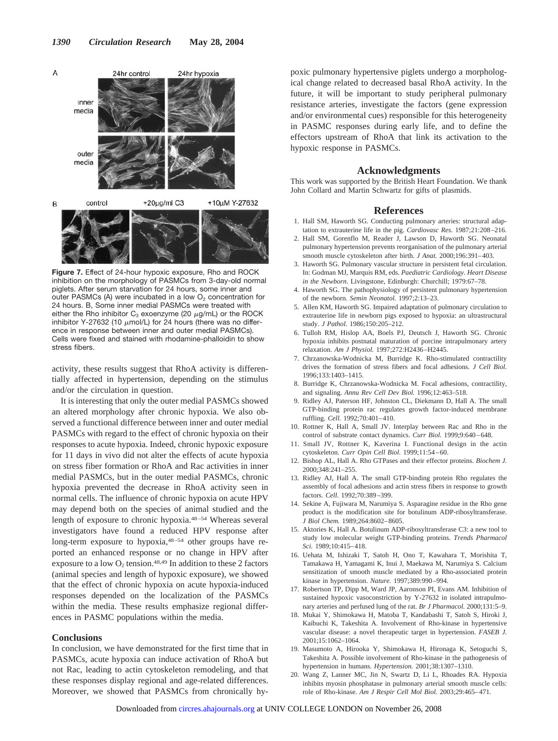

**Figure 7.** Effect of 24-hour hypoxic exposure, Rho and ROCK inhibition on the morphology of PASMCs from 3-day-old normal piglets. After serum starvation for 24 hours, some inner and outer PASMCs (A) were incubated in a low  $O<sub>2</sub>$  concentration for 24 hours. B, Some inner medial PASMCs were treated with either the Rho inhibitor  $C_3$  exoenzyme (20  $\mu$ g/mL) or the ROCK inhibitor Y-27632 (10  $\mu$ mol/L) for 24 hours (there was no difference in response between inner and outer medial PASMCs). Cells were fixed and stained with rhodamine-phalloidin to show stress fibers.

activity, these results suggest that RhoA activity is differentially affected in hypertension, depending on the stimulus and/or the circulation in question.

It is interesting that only the outer medial PASMCs showed an altered morphology after chronic hypoxia. We also observed a functional difference between inner and outer medial PASMCs with regard to the effect of chronic hypoxia on their responses to acute hypoxia. Indeed, chronic hypoxic exposure for 11 days in vivo did not alter the effects of acute hypoxia on stress fiber formation or RhoA and Rac activities in inner medial PASMCs, but in the outer medial PASMCs, chronic hypoxia prevented the decrease in RhoA activity seen in normal cells. The influence of chronic hypoxia on acute HPV may depend both on the species of animal studied and the length of exposure to chronic hypoxia.48–54 Whereas several investigators have found a reduced HPV response after long-term exposure to hypoxia,<sup>48-54</sup> other groups have reported an enhanced response or no change in HPV after exposure to a low  $O_2$  tension.<sup>48,49</sup> In addition to these 2 factors (animal species and length of hypoxic exposure), we showed that the effect of chronic hypoxia on acute hypoxia-induced responses depended on the localization of the PASMCs within the media. These results emphasize regional differences in PASMC populations within the media.

#### **Conclusions**

In conclusion, we have demonstrated for the first time that in PASMCs, acute hypoxia can induce activation of RhoA but not Rac, leading to actin cytoskeleton remodeling, and that these responses display regional and age-related differences. Moreover, we showed that PASMCs from chronically hy-

poxic pulmonary hypertensive piglets undergo a morphological change related to decreased basal RhoA activity. In the future, it will be important to study peripheral pulmonary resistance arteries, investigate the factors (gene expression and/or environmental cues) responsible for this heterogeneity in PASMC responses during early life, and to define the effectors upstream of RhoA that link its activation to the hypoxic response in PASMCs.

## **Acknowledgments**

This work was supported by the British Heart Foundation. We thank John Collard and Martin Schwartz for gifts of plasmids.

#### **References**

- 1. Hall SM, Haworth SG. Conducting pulmonary arteries: structural adaptation to extrauterine life in the pig. *Cardiovasc Res.* 1987;21:208–216.
- 2. Hall SM, Gorenflo M, Reader J, Lawson D, Haworth SG. Neonatal pulmonary hypertension prevents reorganisation of the pulmonary arterial smooth muscle cytoskeleton after birth. *J Anat.* 2000;196:391–403.
- 3. Haworth SG. Pulmonary vascular structure in persistent fetal circulation. In: Godman MJ, Marquis RM, eds. *Paediatric Cardiology. Heart Disease in the Newborn*. Livingstone, Edinburgh: Churchill; 1979:67–78.
- 4. Haworth SG. The pathophysiology of persistent pulmonary hypertension of the newborn. *Semin Neonatol.* 1997;2:13–23.
- 5. Allen KM, Haworth SG. Impaired adaptation of pulmonary circulation to extrauterine life in newborn pigs exposed to hypoxia: an ultrastructural study. *J Pathol.* 1986;150:205–212.
- 6. Tulloh RM, Hislop AA, Boels PJ, Deutsch J, Haworth SG. Chronic hypoxia inhibits postnatal maturation of porcine intrapulmonary artery relaxation. *Am J Physiol.* 1997;272:H2436–H2445.
- 7. Chrzanowska-Wodnicka M, Burridge K. Rho-stimulated contractility drives the formation of stress fibers and focal adhesions. *J Cell Biol.* 1996;133:1403–1415.
- 8. Burridge K, Chrzanowska-Wodnicka M. Focal adhesions, contractility, and signaling. *Annu Rev Cell Dev Biol.* 1996;12:463–518.
- 9. Ridley AJ, Paterson HF, Johnston CL, Diekmann D, Hall A. The small GTP-binding protein rac regulates growth factor-induced membrane ruffling. *Cell.* 1992;70:401–410.
- 10. Rottner K, Hall A, Small JV. Interplay between Rac and Rho in the control of substrate contact dynamics. *Curr Biol.* 1999;9:640–648.
- 11. Small JV, Rottner K, Kaverina I. Functional design in the actin cytoskeleton. *Curr Opin Cell Biol.* 1999;11:54–60.
- 12. Bishop AL, Hall A. Rho GTPases and their effector proteins. *Biochem J.* 2000;348:241–255.
- 13. Ridley AJ, Hall A. The small GTP-binding protein Rho regulates the assembly of focal adhesions and actin stress fibers in response to growth factors. *Cell.* 1992;70:389–399.
- 14. Sekine A, Fujiwara M, Narumiya S. Asparagine residue in the Rho gene product is the modification site for botulinum ADP-ribosyltransferase. *J Biol Chem.* 1989;264:8602–8605.
- 15. Aktories K, Hall A. Botulinum ADP-ribosyltransferase C3: a new tool to study low molecular weight GTP-binding proteins. *Trends Pharmacol Sci.* 1989;10:415–418.
- 16. Uehata M, Ishizaki T, Satoh H, Ono T, Kawahara T, Morishita T, Tamakawa H, Yamagami K, Inui J, Maekawa M, Narumiya S. Calcium sensitization of smooth muscle mediated by a Rho-associated protein kinase in hypertension. *Nature.* 1997;389:990–994.
- 17. Robertson TP, Dipp M, Ward JP, Aaronson PI, Evans AM. Inhibition of sustained hypoxic vasoconstriction by Y-27632 in isolated intrapulmonary arteries and perfused lung of the rat. *Br J Pharmacol.* 2000;131:5–9.
- 18. Mukai Y, Shimokawa H, Matoba T, Kandabashi T, Satoh S, Hiroki J, Kaibuchi K, Takeshita A. Involvement of Rho-kinase in hypertensive vascular disease: a novel therapeutic target in hypertension. *FASEB J.* 2001;15:1062–1064.
- 19. Masumoto A, Hirooka Y, Shimokawa H, Hironaga K, Setoguchi S, Takeshita A. Possible involvement of Rho-kinase in the pathogenesis of hypertension in humans. *Hypertension.* 2001;38:1307–1310.
- Wang Z, Lanner MC, Jin N, Swartz D, Li L, Rhoades RA. Hypoxia inhibits myosin phosphatase in pulmonary arterial smooth muscle cells: role of Rho-kinase. *Am J Respir Cell Mol Biol.* 2003;29:465–471.